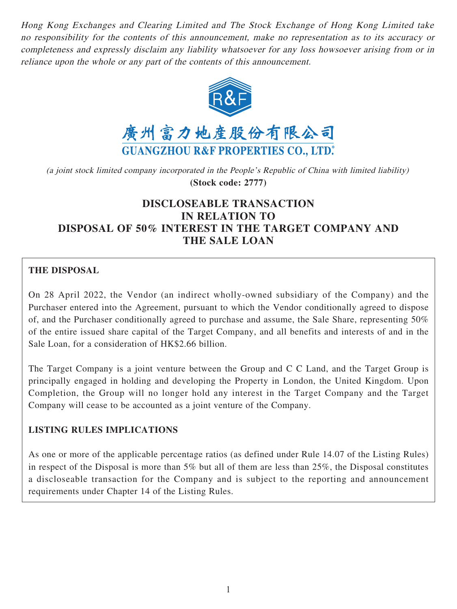Hong Kong Exchanges and Clearing Limited and The Stock Exchange of Hong Kong Limited take no responsibility for the contents of this announcement, make no representation as to its accuracy or completeness and expressly disclaim any liability whatsoever for any loss howsoever arising from or in reliance upon the whole or any part of the contents of this announcement.



(a joint stock limited company incorporated in the People's Republic of China with limited liability) **(Stock code: 2777)**

# **DISCLOSEABLE TRANSACTION IN RELATION TO DISPOSAL OF 50% INTEREST IN THE TARGET COMPANY AND THE SALE LOAN**

# **THE DISPOSAL**

On 28 April 2022, the Vendor (an indirect wholly-owned subsidiary of the Company) and the Purchaser entered into the Agreement, pursuant to which the Vendor conditionally agreed to dispose of, and the Purchaser conditionally agreed to purchase and assume, the Sale Share, representing 50% of the entire issued share capital of the Target Company, and all benefits and interests of and in the Sale Loan, for a consideration of HK\$2.66 billion.

The Target Company is a joint venture between the Group and C C Land, and the Target Group is principally engaged in holding and developing the Property in London, the United Kingdom. Upon Completion, the Group will no longer hold any interest in the Target Company and the Target Company will cease to be accounted as a joint venture of the Company.

#### **LISTING RULES IMPLICATIONS**

As one or more of the applicable percentage ratios (as defined under Rule 14.07 of the Listing Rules) in respect of the Disposal is more than 5% but all of them are less than 25%, the Disposal constitutes a discloseable transaction for the Company and is subject to the reporting and announcement requirements under Chapter 14 of the Listing Rules.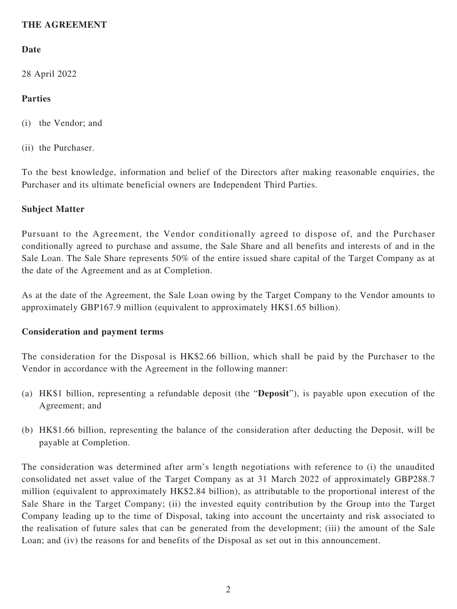# **THE AGREEMENT**

# **Date**

28 April 2022

### **Parties**

- (i) the Vendor; and
- (ii) the Purchaser.

To the best knowledge, information and belief of the Directors after making reasonable enquiries, the Purchaser and its ultimate beneficial owners are Independent Third Parties.

#### **Subject Matter**

Pursuant to the Agreement, the Vendor conditionally agreed to dispose of, and the Purchaser conditionally agreed to purchase and assume, the Sale Share and all benefits and interests of and in the Sale Loan. The Sale Share represents 50% of the entire issued share capital of the Target Company as at the date of the Agreement and as at Completion.

As at the date of the Agreement, the Sale Loan owing by the Target Company to the Vendor amounts to approximately GBP167.9 million (equivalent to approximately HK\$1.65 billion).

#### **Consideration and payment terms**

The consideration for the Disposal is HK\$2.66 billion, which shall be paid by the Purchaser to the Vendor in accordance with the Agreement in the following manner:

- (a) HK\$1 billion, representing a refundable deposit (the "**Deposit**"), is payable upon execution of the Agreement; and
- (b) HK\$1.66 billion, representing the balance of the consideration after deducting the Deposit, will be payable at Completion.

The consideration was determined after arm's length negotiations with reference to (i) the unaudited consolidated net asset value of the Target Company as at 31 March 2022 of approximately GBP288.7 million (equivalent to approximately HK\$2.84 billion), as attributable to the proportional interest of the Sale Share in the Target Company; (ii) the invested equity contribution by the Group into the Target Company leading up to the time of Disposal, taking into account the uncertainty and risk associated to the realisation of future sales that can be generated from the development; (iii) the amount of the Sale Loan; and (iv) the reasons for and benefits of the Disposal as set out in this announcement.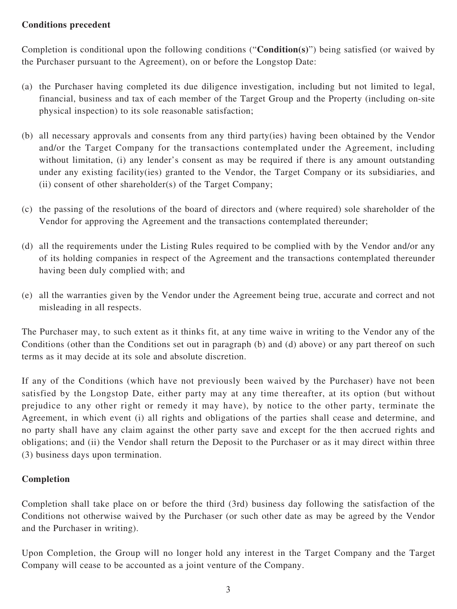### **Conditions precedent**

Completion is conditional upon the following conditions ("**Condition(s)**") being satisfied (or waived by the Purchaser pursuant to the Agreement), on or before the Longstop Date:

- (a) the Purchaser having completed its due diligence investigation, including but not limited to legal, financial, business and tax of each member of the Target Group and the Property (including on-site physical inspection) to its sole reasonable satisfaction;
- (b) all necessary approvals and consents from any third party(ies) having been obtained by the Vendor and/or the Target Company for the transactions contemplated under the Agreement, including without limitation, (i) any lender's consent as may be required if there is any amount outstanding under any existing facility(ies) granted to the Vendor, the Target Company or its subsidiaries, and (ii) consent of other shareholder(s) of the Target Company;
- (c) the passing of the resolutions of the board of directors and (where required) sole shareholder of the Vendor for approving the Agreement and the transactions contemplated thereunder;
- (d) all the requirements under the Listing Rules required to be complied with by the Vendor and/or any of its holding companies in respect of the Agreement and the transactions contemplated thereunder having been duly complied with; and
- (e) all the warranties given by the Vendor under the Agreement being true, accurate and correct and not misleading in all respects.

The Purchaser may, to such extent as it thinks fit, at any time waive in writing to the Vendor any of the Conditions (other than the Conditions set out in paragraph (b) and (d) above) or any part thereof on such terms as it may decide at its sole and absolute discretion.

If any of the Conditions (which have not previously been waived by the Purchaser) have not been satisfied by the Longstop Date, either party may at any time thereafter, at its option (but without prejudice to any other right or remedy it may have), by notice to the other party, terminate the Agreement, in which event (i) all rights and obligations of the parties shall cease and determine, and no party shall have any claim against the other party save and except for the then accrued rights and obligations; and (ii) the Vendor shall return the Deposit to the Purchaser or as it may direct within three (3) business days upon termination.

# **Completion**

Completion shall take place on or before the third (3rd) business day following the satisfaction of the Conditions not otherwise waived by the Purchaser (or such other date as may be agreed by the Vendor and the Purchaser in writing).

Upon Completion, the Group will no longer hold any interest in the Target Company and the Target Company will cease to be accounted as a joint venture of the Company.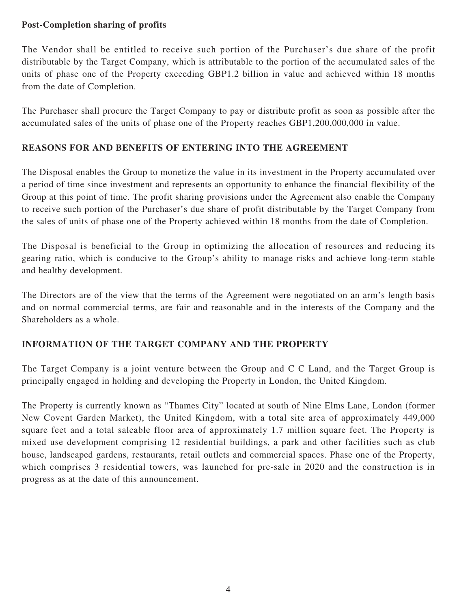# **Post-Completion sharing of profits**

The Vendor shall be entitled to receive such portion of the Purchaser's due share of the profit distributable by the Target Company, which is attributable to the portion of the accumulated sales of the units of phase one of the Property exceeding GBP1.2 billion in value and achieved within 18 months from the date of Completion.

The Purchaser shall procure the Target Company to pay or distribute profit as soon as possible after the accumulated sales of the units of phase one of the Property reaches GBP1,200,000,000 in value.

# **REASONS FOR AND BENEFITS OF ENTERING INTO THE AGREEMENT**

The Disposal enables the Group to monetize the value in its investment in the Property accumulated over a period of time since investment and represents an opportunity to enhance the financial flexibility of the Group at this point of time. The profit sharing provisions under the Agreement also enable the Company to receive such portion of the Purchaser's due share of profit distributable by the Target Company from the sales of units of phase one of the Property achieved within 18 months from the date of Completion.

The Disposal is beneficial to the Group in optimizing the allocation of resources and reducing its gearing ratio, which is conducive to the Group's ability to manage risks and achieve long-term stable and healthy development.

The Directors are of the view that the terms of the Agreement were negotiated on an arm's length basis and on normal commercial terms, are fair and reasonable and in the interests of the Company and the Shareholders as a whole.

# **INFORMATION OF THE TARGET COMPANY AND THE PROPERTY**

The Target Company is a joint venture between the Group and C C Land, and the Target Group is principally engaged in holding and developing the Property in London, the United Kingdom.

The Property is currently known as "Thames City" located at south of Nine Elms Lane, London (former New Covent Garden Market), the United Kingdom, with a total site area of approximately 449,000 square feet and a total saleable floor area of approximately 1.7 million square feet. The Property is mixed use development comprising 12 residential buildings, a park and other facilities such as club house, landscaped gardens, restaurants, retail outlets and commercial spaces. Phase one of the Property, which comprises 3 residential towers, was launched for pre-sale in 2020 and the construction is in progress as at the date of this announcement.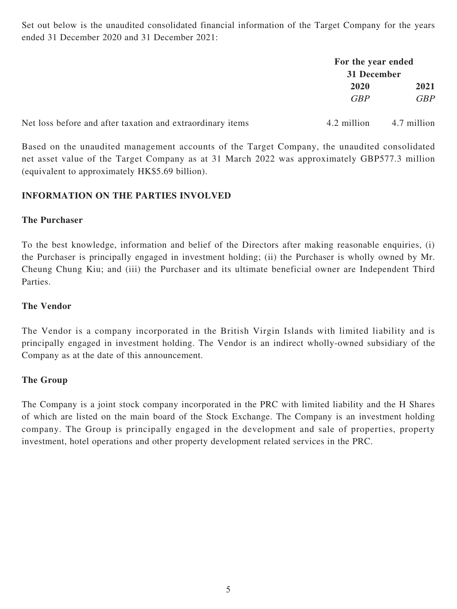Set out below is the unaudited consolidated financial information of the Target Company for the years ended 31 December 2020 and 31 December 2021:

|                                                            | For the year ended<br>31 December |             |
|------------------------------------------------------------|-----------------------------------|-------------|
|                                                            |                                   |             |
|                                                            | 2020                              | 2021        |
|                                                            | <b>GBP</b>                        | <b>GBP</b>  |
| Net loss before and after taxation and extraordinary items | 4.2 million                       | 4.7 million |

Based on the unaudited management accounts of the Target Company, the unaudited consolidated net asset value of the Target Company as at 31 March 2022 was approximately GBP577.3 million (equivalent to approximately HK\$5.69 billion).

### **INFORMATION ON THE PARTIES INVOLVED**

#### **The Purchaser**

To the best knowledge, information and belief of the Directors after making reasonable enquiries, (i) the Purchaser is principally engaged in investment holding; (ii) the Purchaser is wholly owned by Mr. Cheung Chung Kiu; and (iii) the Purchaser and its ultimate beneficial owner are Independent Third Parties.

### **The Vendor**

The Vendor is a company incorporated in the British Virgin Islands with limited liability and is principally engaged in investment holding. The Vendor is an indirect wholly-owned subsidiary of the Company as at the date of this announcement.

#### **The Group**

The Company is a joint stock company incorporated in the PRC with limited liability and the H Shares of which are listed on the main board of the Stock Exchange. The Company is an investment holding company. The Group is principally engaged in the development and sale of properties, property investment, hotel operations and other property development related services in the PRC.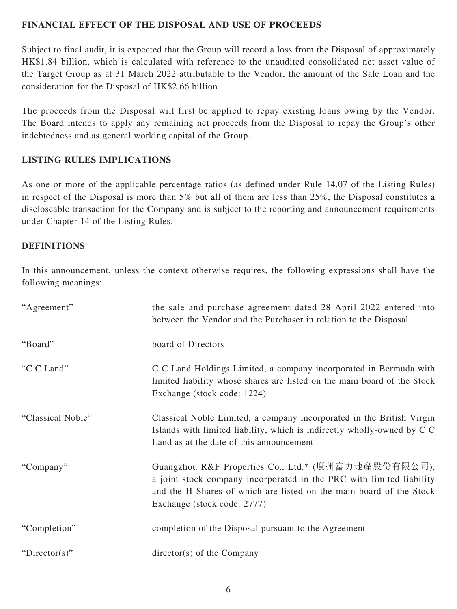# **FINANCIAL EFFECT OF THE DISPOSAL AND USE OF PROCEEDS**

Subject to final audit, it is expected that the Group will record a loss from the Disposal of approximately HK\$1.84 billion, which is calculated with reference to the unaudited consolidated net asset value of the Target Group as at 31 March 2022 attributable to the Vendor, the amount of the Sale Loan and the consideration for the Disposal of HK\$2.66 billion.

The proceeds from the Disposal will first be applied to repay existing loans owing by the Vendor. The Board intends to apply any remaining net proceeds from the Disposal to repay the Group's other indebtedness and as general working capital of the Group.

### **LISTING RULES IMPLICATIONS**

As one or more of the applicable percentage ratios (as defined under Rule 14.07 of the Listing Rules) in respect of the Disposal is more than 5% but all of them are less than 25%, the Disposal constitutes a discloseable transaction for the Company and is subject to the reporting and announcement requirements under Chapter 14 of the Listing Rules.

#### **DEFINITIONS**

In this announcement, unless the context otherwise requires, the following expressions shall have the following meanings:

| "Agreement"       | the sale and purchase agreement dated 28 April 2022 entered into<br>between the Vendor and the Purchaser in relation to the Disposal                                                                                              |
|-------------------|-----------------------------------------------------------------------------------------------------------------------------------------------------------------------------------------------------------------------------------|
| "Board"           | board of Directors                                                                                                                                                                                                                |
| "C C Land"        | C C Land Holdings Limited, a company incorporated in Bermuda with<br>limited liability whose shares are listed on the main board of the Stock<br>Exchange (stock code: 1224)                                                      |
| "Classical Noble" | Classical Noble Limited, a company incorporated in the British Virgin<br>Islands with limited liability, which is indirectly wholly-owned by C C<br>Land as at the date of this announcement                                      |
| "Company"         | Guangzhou R&F Properties Co., Ltd.* (廣州富力地產股份有限公司),<br>a joint stock company incorporated in the PRC with limited liability<br>and the H Shares of which are listed on the main board of the Stock<br>Exchange (stock code: 2777) |
| "Completion"      | completion of the Disposal pursuant to the Agreement                                                                                                                                                                              |
| "Director(s)"     | $directory(s)$ of the Company                                                                                                                                                                                                     |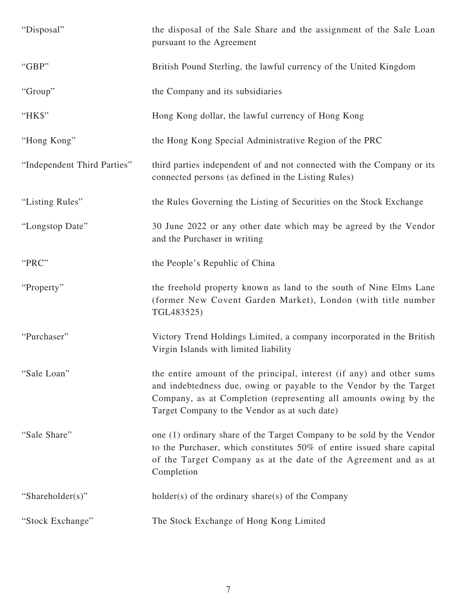| "Disposal"                  | the disposal of the Sale Share and the assignment of the Sale Loan<br>pursuant to the Agreement                                                                                                                                                                 |
|-----------------------------|-----------------------------------------------------------------------------------------------------------------------------------------------------------------------------------------------------------------------------------------------------------------|
| "GBP"                       | British Pound Sterling, the lawful currency of the United Kingdom                                                                                                                                                                                               |
| "Group"                     | the Company and its subsidiaries                                                                                                                                                                                                                                |
| "HK\$"                      | Hong Kong dollar, the lawful currency of Hong Kong                                                                                                                                                                                                              |
| "Hong Kong"                 | the Hong Kong Special Administrative Region of the PRC                                                                                                                                                                                                          |
| "Independent Third Parties" | third parties independent of and not connected with the Company or its<br>connected persons (as defined in the Listing Rules)                                                                                                                                   |
| "Listing Rules"             | the Rules Governing the Listing of Securities on the Stock Exchange                                                                                                                                                                                             |
| "Longstop Date"             | 30 June 2022 or any other date which may be agreed by the Vendor<br>and the Purchaser in writing                                                                                                                                                                |
| "PRC"                       | the People's Republic of China                                                                                                                                                                                                                                  |
| "Property"                  | the freehold property known as land to the south of Nine Elms Lane<br>(former New Covent Garden Market), London (with title number<br>TGL483525)                                                                                                                |
| "Purchaser"                 | Victory Trend Holdings Limited, a company incorporated in the British<br>Virgin Islands with limited liability                                                                                                                                                  |
| "Sale Loan"                 | the entire amount of the principal, interest (if any) and other sums<br>and indebtedness due, owing or payable to the Vendor by the Target<br>Company, as at Completion (representing all amounts owing by the<br>Target Company to the Vendor as at such date) |
| "Sale Share"                | one (1) ordinary share of the Target Company to be sold by the Vendor<br>to the Purchaser, which constitutes 50% of entire issued share capital<br>of the Target Company as at the date of the Agreement and as at<br>Completion                                |
| "Shareholder(s)"            | $holder(s)$ of the ordinary share(s) of the Company                                                                                                                                                                                                             |
| "Stock Exchange"            | The Stock Exchange of Hong Kong Limited                                                                                                                                                                                                                         |